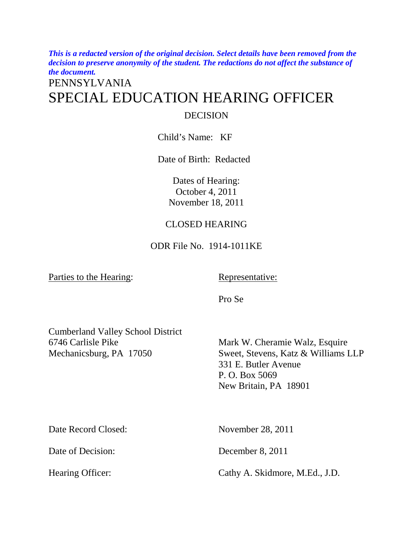*This is a redacted version of the original decision. Select details have been removed from the decision to preserve anonymity of the student. The redactions do not affect the substance of the document.* 

# PENNSYLVANIA SPECIAL EDUCATION HEARING OFFICER DECISION

Child's Name: KF

Date of Birth: Redacted

Dates of Hearing: October 4, 2011 November 18, 2011

## CLOSED HEARING

ODR File No. 1914-1011KE

Parties to the Hearing:

Representative:

Pro Se

Cumberland Valley School District 6746 Carlisle Pike Mechanicsburg, PA 17050

Mark W. Cheramie Walz, Esquire Sweet, Stevens, Katz & Williams LLP 331 E. Butler Avenue P. O. Box 5069 New Britain, PA 18901

Date Record Closed: November 28, 2011

Date of Decision: December 8, 2011

Hearing Officer: Cathy A. Skidmore, M.Ed., J.D.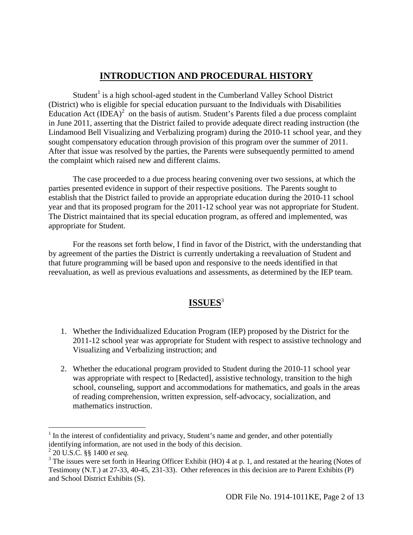# **INTRODUCTION AND PROCEDURAL HISTORY**

Student<sup>1</sup> is a high school-aged student in the Cumberland Valley School District (District) who is eligible for special education pursuant to the Individuals with Disabilities Education Act  $(IDEA)^2$  on the basis of autism. Student's Parents filed a due process complaint in June 2011, asserting that the District failed to provide adequate direct reading instruction (the Lindamood Bell Visualizing and Verbalizing program) during the 2010-11 school year, and they sought compensatory education through provision of this program over the summer of 2011. After that issue was resolved by the parties, the Parents were subsequently permitted to amend the complaint which raised new and different claims.

 The case proceeded to a due process hearing convening over two sessions, at which the parties presented evidence in support of their respective positions. The Parents sought to establish that the District failed to provide an appropriate education during the 2010-11 school year and that its proposed program for the 2011-12 school year was not appropriate for Student. The District maintained that its special education program, as offered and implemented, was appropriate for Student.

 For the reasons set forth below, I find in favor of the District, with the understanding that by agreement of the parties the District is currently undertaking a reevaluation of Student and that future programming will be based upon and responsive to the needs identified in that reevaluation, as well as previous evaluations and assessments, as determined by the IEP team.

# **ISSUES**<sup>3</sup>

- 1. Whether the Individualized Education Program (IEP) proposed by the District for the 2011-12 school year was appropriate for Student with respect to assistive technology and Visualizing and Verbalizing instruction; and
- 2. Whether the educational program provided to Student during the 2010-11 school year was appropriate with respect to [Redacted], assistive technology, transition to the high school, counseling, support and accommodations for mathematics, and goals in the areas of reading comprehension, written expression, self-advocacy, socialization, and mathematics instruction.

<u>.</u>

<sup>&</sup>lt;sup>1</sup> In the interest of confidentiality and privacy, Student's name and gender, and other potentially identifying information, are not used in the body of this decision.

<sup>2</sup> 20 U.S.C. §§ 1400 *et seq.*

 $3$  The issues were set forth in Hearing Officer Exhibit (HO) 4 at p. 1, and restated at the hearing (Notes of Testimony (N.T.) at 27-33, 40-45, 231-33). Other references in this decision are to Parent Exhibits (P) and School District Exhibits (S).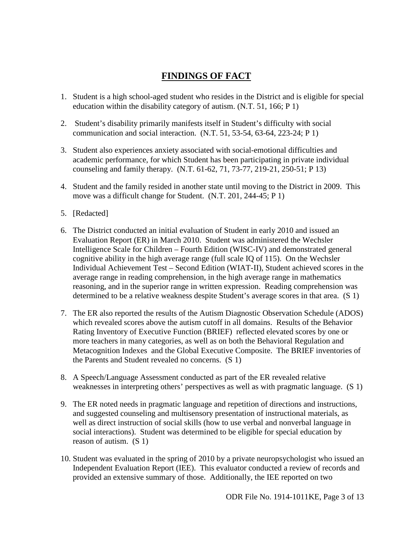# **FINDINGS OF FACT**

- 1. Student is a high school-aged student who resides in the District and is eligible for special education within the disability category of autism. (N.T. 51, 166; P 1)
- 2. Student's disability primarily manifests itself in Student's difficulty with social communication and social interaction. (N.T. 51, 53-54, 63-64, 223-24; P 1)
- 3. Student also experiences anxiety associated with social-emotional difficulties and academic performance, for which Student has been participating in private individual counseling and family therapy. (N.T. 61-62, 71, 73-77, 219-21, 250-51; P 13)
- 4. Student and the family resided in another state until moving to the District in 2009. This move was a difficult change for Student. (N.T. 201, 244-45; P 1)
- 5. [Redacted]
- 6. The District conducted an initial evaluation of Student in early 2010 and issued an Evaluation Report (ER) in March 2010. Student was administered the Wechsler Intelligence Scale for Children – Fourth Edition (WISC-IV) and demonstrated general cognitive ability in the high average range (full scale IQ of 115). On the Wechsler Individual Achievement Test – Second Edition (WIAT-II), Student achieved scores in the average range in reading comprehension, in the high average range in mathematics reasoning, and in the superior range in written expression. Reading comprehension was determined to be a relative weakness despite Student's average scores in that area. (S 1)
- 7. The ER also reported the results of the Autism Diagnostic Observation Schedule (ADOS) which revealed scores above the autism cutoff in all domains. Results of the Behavior Rating Inventory of Executive Function (BRIEF) reflected elevated scores by one or more teachers in many categories, as well as on both the Behavioral Regulation and Metacognition Indexes and the Global Executive Composite. The BRIEF inventories of the Parents and Student revealed no concerns. (S 1)
- 8. A Speech/Language Assessment conducted as part of the ER revealed relative weaknesses in interpreting others' perspectives as well as with pragmatic language. (S 1)
- 9. The ER noted needs in pragmatic language and repetition of directions and instructions, and suggested counseling and multisensory presentation of instructional materials, as well as direct instruction of social skills (how to use verbal and nonverbal language in social interactions). Student was determined to be eligible for special education by reason of autism. (S 1)
- 10. Student was evaluated in the spring of 2010 by a private neuropsychologist who issued an Independent Evaluation Report (IEE). This evaluator conducted a review of records and provided an extensive summary of those. Additionally, the IEE reported on two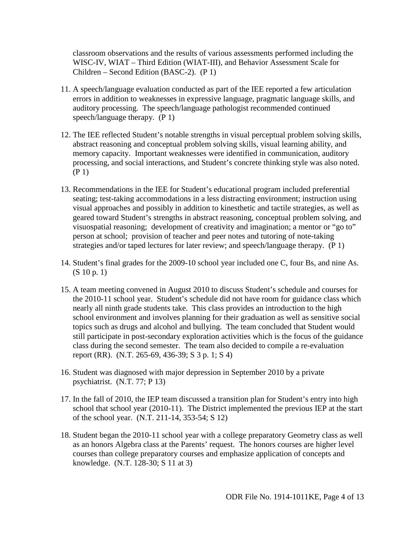classroom observations and the results of various assessments performed including the WISC-IV, WIAT – Third Edition (WIAT-III), and Behavior Assessment Scale for Children – Second Edition (BASC-2). (P 1)

- 11. A speech/language evaluation conducted as part of the IEE reported a few articulation errors in addition to weaknesses in expressive language, pragmatic language skills, and auditory processing. The speech/language pathologist recommended continued speech/language therapy. (P 1)
- 12. The IEE reflected Student's notable strengths in visual perceptual problem solving skills, abstract reasoning and conceptual problem solving skills, visual learning ability, and memory capacity. Important weaknesses were identified in communication, auditory processing, and social interactions, and Student's concrete thinking style was also noted. (P 1)
- 13. Recommendations in the IEE for Student's educational program included preferential seating; test-taking accommodations in a less distracting environment; instruction using visual approaches and possibly in addition to kinesthetic and tactile strategies, as well as geared toward Student's strengths in abstract reasoning, conceptual problem solving, and visuospatial reasoning; development of creativity and imagination; a mentor or "go to" person at school; provision of teacher and peer notes and tutoring of note-taking strategies and/or taped lectures for later review; and speech/language therapy. (P 1)
- 14. Student's final grades for the 2009-10 school year included one C, four Bs, and nine As. (S 10 p. 1)
- 15. A team meeting convened in August 2010 to discuss Student's schedule and courses for the 2010-11 school year. Student's schedule did not have room for guidance class which nearly all ninth grade students take. This class provides an introduction to the high school environment and involves planning for their graduation as well as sensitive social topics such as drugs and alcohol and bullying. The team concluded that Student would still participate in post-secondary exploration activities which is the focus of the guidance class during the second semester. The team also decided to compile a re-evaluation report (RR). (N.T. 265-69, 436-39; S 3 p. 1; S 4)
- 16. Student was diagnosed with major depression in September 2010 by a private psychiatrist. (N.T. 77; P 13)
- 17. In the fall of 2010, the IEP team discussed a transition plan for Student's entry into high school that school year (2010-11). The District implemented the previous IEP at the start of the school year. (N.T. 211-14, 353-54; S 12)
- 18. Student began the 2010-11 school year with a college preparatory Geometry class as well as an honors Algebra class at the Parents' request. The honors courses are higher level courses than college preparatory courses and emphasize application of concepts and knowledge. (N.T. 128-30; S 11 at 3)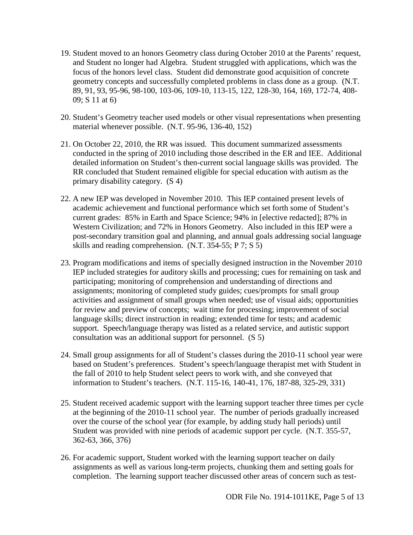- 19. Student moved to an honors Geometry class during October 2010 at the Parents' request, and Student no longer had Algebra. Student struggled with applications, which was the focus of the honors level class. Student did demonstrate good acquisition of concrete geometry concepts and successfully completed problems in class done as a group. (N.T. 89, 91, 93, 95-96, 98-100, 103-06, 109-10, 113-15, 122, 128-30, 164, 169, 172-74, 408- 09; S 11 at 6)
- 20. Student's Geometry teacher used models or other visual representations when presenting material whenever possible. (N.T. 95-96, 136-40, 152)
- 21. On October 22, 2010, the RR was issued. This document summarized assessments conducted in the spring of 2010 including those described in the ER and IEE. Additional detailed information on Student's then-current social language skills was provided. The RR concluded that Student remained eligible for special education with autism as the primary disability category. (S 4)
- 22. A new IEP was developed in November 2010. This IEP contained present levels of academic achievement and functional performance which set forth some of Student's current grades: 85% in Earth and Space Science; 94% in [elective redacted]; 87% in Western Civilization; and 72% in Honors Geometry. Also included in this IEP were a post-secondary transition goal and planning, and annual goals addressing social language skills and reading comprehension. (N.T. 354-55; P 7; S 5)
- 23. Program modifications and items of specially designed instruction in the November 2010 IEP included strategies for auditory skills and processing; cues for remaining on task and participating; monitoring of comprehension and understanding of directions and assignments; monitoring of completed study guides; cues/prompts for small group activities and assignment of small groups when needed; use of visual aids; opportunities for review and preview of concepts; wait time for processing; improvement of social language skills; direct instruction in reading; extended time for tests; and academic support. Speech/language therapy was listed as a related service, and autistic support consultation was an additional support for personnel. (S 5)
- 24. Small group assignments for all of Student's classes during the 2010-11 school year were based on Student's preferences. Student's speech/language therapist met with Student in the fall of 2010 to help Student select peers to work with, and she conveyed that information to Student's teachers. (N.T. 115-16, 140-41, 176, 187-88, 325-29, 331)
- 25. Student received academic support with the learning support teacher three times per cycle at the beginning of the 2010-11 school year. The number of periods gradually increased over the course of the school year (for example, by adding study hall periods) until Student was provided with nine periods of academic support per cycle. (N.T. 355-57, 362-63, 366, 376)
- 26. For academic support, Student worked with the learning support teacher on daily assignments as well as various long-term projects, chunking them and setting goals for completion. The learning support teacher discussed other areas of concern such as test-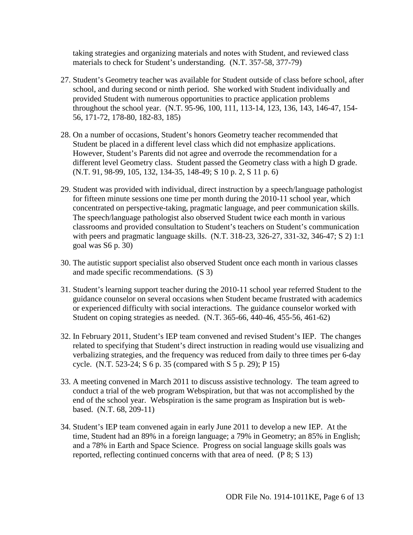taking strategies and organizing materials and notes with Student, and reviewed class materials to check for Student's understanding. (N.T. 357-58, 377-79)

- 27. Student's Geometry teacher was available for Student outside of class before school, after school, and during second or ninth period. She worked with Student individually and provided Student with numerous opportunities to practice application problems throughout the school year. (N.T. 95-96, 100, 111, 113-14, 123, 136, 143, 146-47, 154- 56, 171-72, 178-80, 182-83, 185)
- 28. On a number of occasions, Student's honors Geometry teacher recommended that Student be placed in a different level class which did not emphasize applications. However, Student's Parents did not agree and overrode the recommendation for a different level Geometry class. Student passed the Geometry class with a high D grade. (N.T. 91, 98-99, 105, 132, 134-35, 148-49; S 10 p. 2, S 11 p. 6)
- 29. Student was provided with individual, direct instruction by a speech/language pathologist for fifteen minute sessions one time per month during the 2010-11 school year, which concentrated on perspective-taking, pragmatic language, and peer communication skills. The speech/language pathologist also observed Student twice each month in various classrooms and provided consultation to Student's teachers on Student's communication with peers and pragmatic language skills. (N.T. 318-23, 326-27, 331-32, 346-47; S 2) 1:1 goal was S6 p. 30)
- 30. The autistic support specialist also observed Student once each month in various classes and made specific recommendations. (S 3)
- 31. Student's learning support teacher during the 2010-11 school year referred Student to the guidance counselor on several occasions when Student became frustrated with academics or experienced difficulty with social interactions. The guidance counselor worked with Student on coping strategies as needed. (N.T. 365-66, 440-46, 455-56, 461-62)
- 32. In February 2011, Student's IEP team convened and revised Student's IEP. The changes related to specifying that Student's direct instruction in reading would use visualizing and verbalizing strategies, and the frequency was reduced from daily to three times per 6-day cycle. (N.T. 523-24; S 6 p. 35 (compared with S 5 p. 29); P 15)
- 33. A meeting convened in March 2011 to discuss assistive technology. The team agreed to conduct a trial of the web program Webspiration, but that was not accomplished by the end of the school year. Webspiration is the same program as Inspiration but is webbased. (N.T. 68, 209-11)
- 34. Student's IEP team convened again in early June 2011 to develop a new IEP. At the time, Student had an 89% in a foreign language; a 79% in Geometry; an 85% in English; and a 78% in Earth and Space Science. Progress on social language skills goals was reported, reflecting continued concerns with that area of need. (P 8; S 13)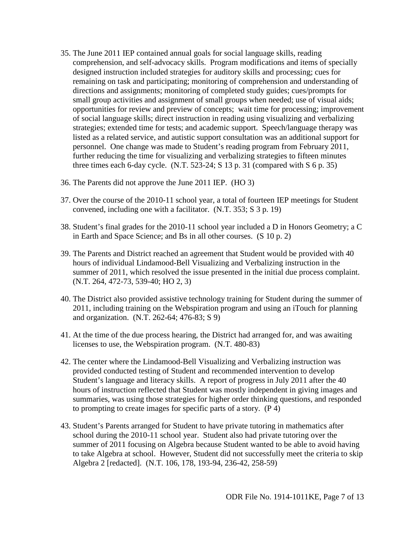- 35. The June 2011 IEP contained annual goals for social language skills, reading comprehension, and self-advocacy skills. Program modifications and items of specially designed instruction included strategies for auditory skills and processing; cues for remaining on task and participating; monitoring of comprehension and understanding of directions and assignments; monitoring of completed study guides; cues/prompts for small group activities and assignment of small groups when needed; use of visual aids; opportunities for review and preview of concepts; wait time for processing; improvement of social language skills; direct instruction in reading using visualizing and verbalizing strategies; extended time for tests; and academic support. Speech/language therapy was listed as a related service, and autistic support consultation was an additional support for personnel. One change was made to Student's reading program from February 2011, further reducing the time for visualizing and verbalizing strategies to fifteen minutes three times each 6-day cycle. (N.T.  $523-24$ ; S 13 p. 31 (compared with S 6 p. 35)
- 36. The Parents did not approve the June 2011 IEP. (HO 3)
- 37. Over the course of the 2010-11 school year, a total of fourteen IEP meetings for Student convened, including one with a facilitator. (N.T. 353; S 3 p. 19)
- 38. Student's final grades for the 2010-11 school year included a D in Honors Geometry; a C in Earth and Space Science; and Bs in all other courses. (S 10 p. 2)
- 39. The Parents and District reached an agreement that Student would be provided with 40 hours of individual Lindamood-Bell Visualizing and Verbalizing instruction in the summer of 2011, which resolved the issue presented in the initial due process complaint. (N.T. 264, 472-73, 539-40; HO 2, 3)
- 40. The District also provided assistive technology training for Student during the summer of 2011, including training on the Webspiration program and using an iTouch for planning and organization. (N.T. 262-64; 476-83; S 9)
- 41. At the time of the due process hearing, the District had arranged for, and was awaiting licenses to use, the Webspiration program. (N.T. 480-83)
- 42. The center where the Lindamood-Bell Visualizing and Verbalizing instruction was provided conducted testing of Student and recommended intervention to develop Student's language and literacy skills. A report of progress in July 2011 after the 40 hours of instruction reflected that Student was mostly independent in giving images and summaries, was using those strategies for higher order thinking questions, and responded to prompting to create images for specific parts of a story. (P 4)
- 43. Student's Parents arranged for Student to have private tutoring in mathematics after school during the 2010-11 school year. Student also had private tutoring over the summer of 2011 focusing on Algebra because Student wanted to be able to avoid having to take Algebra at school. However, Student did not successfully meet the criteria to skip Algebra 2 [redacted]. (N.T. 106, 178, 193-94, 236-42, 258-59)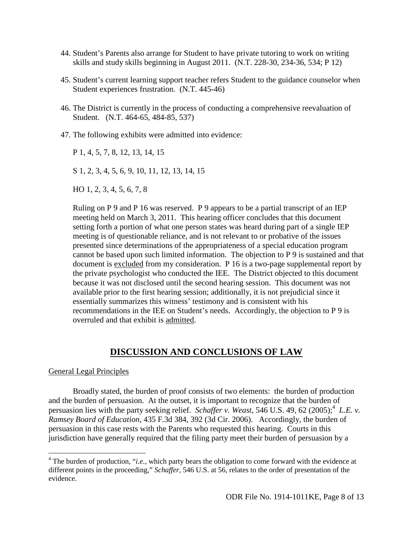- 44. Student's Parents also arrange for Student to have private tutoring to work on writing skills and study skills beginning in August 2011. (N.T. 228-30, 234-36, 534; P 12)
- 45. Student's current learning support teacher refers Student to the guidance counselor when Student experiences frustration. (N.T. 445-46)
- 46. The District is currently in the process of conducting a comprehensive reevaluation of Student. (N.T. 464-65, 484-85, 537)
- 47. The following exhibits were admitted into evidence:

P 1, 4, 5, 7, 8, 12, 13, 14, 15

S 1, 2, 3, 4, 5, 6, 9, 10, 11, 12, 13, 14, 15

HO 1, 2, 3, 4, 5, 6, 7, 8

Ruling on P 9 and P 16 was reserved. P 9 appears to be a partial transcript of an IEP meeting held on March 3, 2011. This hearing officer concludes that this document setting forth a portion of what one person states was heard during part of a single IEP meeting is of questionable reliance, and is not relevant to or probative of the issues presented since determinations of the appropriateness of a special education program cannot be based upon such limited information. The objection to P 9 is sustained and that document is excluded from my consideration. P 16 is a two-page supplemental report by the private psychologist who conducted the IEE. The District objected to this document because it was not disclosed until the second hearing session. This document was not available prior to the first hearing session; additionally, it is not prejudicial since it essentially summarizes this witness' testimony and is consistent with his recommendations in the IEE on Student's needs. Accordingly, the objection to P 9 is overruled and that exhibit is admitted.

### **DISCUSSION AND CONCLUSIONS OF LAW**

#### General Legal Principles

<u>.</u>

 Broadly stated, the burden of proof consists of two elements: the burden of production and the burden of persuasion. At the outset, it is important to recognize that the burden of persuasion lies with the party seeking relief. *Schaffer v. Weast*, 546 U.S. 49, 62 (2005);<sup>4</sup> L.E. v. *Ramsey Board of Education*, 435 F.3d 384, 392 (3d Cir. 2006). Accordingly, the burden of persuasion in this case rests with the Parents who requested this hearing. Courts in this jurisdiction have generally required that the filing party meet their burden of persuasion by a

<sup>&</sup>lt;sup>4</sup> The burden of production, "*i.e.*, which party bears the obligation to come forward with the evidence at different points in the proceeding," *Schaffer*, 546 U.S. at 56, relates to the order of presentation of the evidence.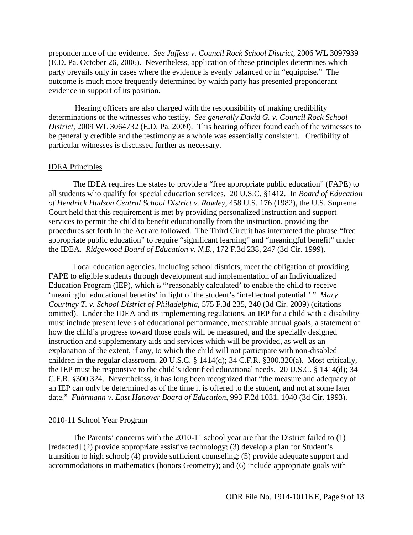preponderance of the evidence. *See Jaffess v. Council Rock School District,* 2006 WL 3097939 (E.D. Pa. October 26, 2006). Nevertheless, application of these principles determines which party prevails only in cases where the evidence is evenly balanced or in "equipoise." The outcome is much more frequently determined by which party has presented preponderant evidence in support of its position.

 Hearing officers are also charged with the responsibility of making credibility determinations of the witnesses who testify. *See generally David G. v. Council Rock School District*, 2009 WL 3064732 (E.D. Pa. 2009). This hearing officer found each of the witnesses to be generally credible and the testimony as a whole was essentially consistent. Credibility of particular witnesses is discussed further as necessary.

#### IDEA Principles

 The IDEA requires the states to provide a "free appropriate public education" (FAPE) to all students who qualify for special education services. 20 U.S.C. §1412. In *Board of Education of Hendrick Hudson Central School District v. Rowley*, 458 U.S. 176 (1982), the U.S. Supreme Court held that this requirement is met by providing personalized instruction and support services to permit the child to benefit educationally from the instruction, providing the procedures set forth in the Act are followed. The Third Circuit has interpreted the phrase "free appropriate public education" to require "significant learning" and "meaningful benefit" under the IDEA. *Ridgewood Board of Education v. N.E.*, 172 F.3d 238, 247 (3d Cir. 1999).

Local education agencies, including school districts, meet the obligation of providing FAPE to eligible students through development and implementation of an Individualized Education Program (IEP), which is "'reasonably calculated' to enable the child to receive 'meaningful educational benefits' in light of the student's 'intellectual potential.' " *Mary Courtney T. v. School District of Philadelphia*, 575 F.3d 235, 240 (3d Cir. 2009) (citations omitted). Under the IDEA and its implementing regulations, an IEP for a child with a disability must include present levels of educational performance, measurable annual goals, a statement of how the child's progress toward those goals will be measured, and the specially designed instruction and supplementary aids and services which will be provided, as well as an explanation of the extent, if any, to which the child will not participate with non-disabled children in the regular classroom. 20 U.S.C. § 1414(d); 34 C.F.R. §300.320(a). Most critically, the IEP must be responsive to the child's identified educational needs. 20 U.S.C. § 1414(d); 34 C.F.R. §300.324. Nevertheless, it has long been recognized that "the measure and adequacy of an IEP can only be determined as of the time it is offered to the student, and not at some later date." *Fuhrmann v. East Hanover Board of Education*, 993 F.2d 1031, 1040 (3d Cir. 1993).

#### 2010-11 School Year Program

 The Parents' concerns with the 2010-11 school year are that the District failed to (1) [redacted] (2) provide appropriate assistive technology; (3) develop a plan for Student's transition to high school; (4) provide sufficient counseling; (5) provide adequate support and accommodations in mathematics (honors Geometry); and (6) include appropriate goals with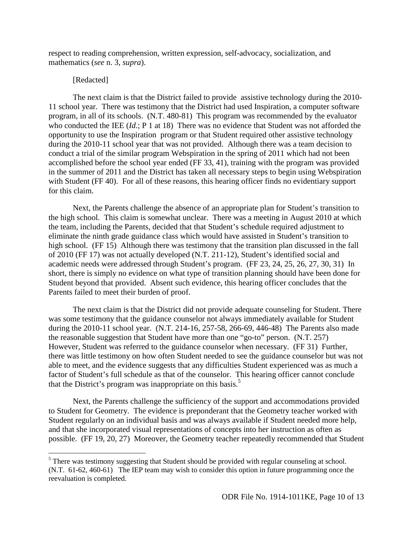respect to reading comprehension, written expression, self-advocacy, socialization, and mathematics (*see* n. 3, *supra*).

#### [Redacted]

 $\overline{a}$ 

 The next claim is that the District failed to provide assistive technology during the 2010- 11 school year. There was testimony that the District had used Inspiration, a computer software program, in all of its schools. (N.T. 480-81) This program was recommended by the evaluator who conducted the IEE (*Id*.; P 1 at 18) There was no evidence that Student was not afforded the opportunity to use the Inspiration program or that Student required other assistive technology during the 2010-11 school year that was not provided. Although there was a team decision to conduct a trial of the similar program Webspiration in the spring of 2011 which had not been accomplished before the school year ended (FF 33, 41), training with the program was provided in the summer of 2011 and the District has taken all necessary steps to begin using Webspiration with Student (FF 40). For all of these reasons, this hearing officer finds no evidentiary support for this claim.

 Next, the Parents challenge the absence of an appropriate plan for Student's transition to the high school. This claim is somewhat unclear. There was a meeting in August 2010 at which the team, including the Parents, decided that that Student's schedule required adjustment to eliminate the ninth grade guidance class which would have assisted in Student's transition to high school. (FF 15) Although there was testimony that the transition plan discussed in the fall of 2010 (FF 17) was not actually developed (N.T. 211-12), Student's identified social and academic needs were addressed through Student's program. (FF 23, 24, 25, 26, 27, 30, 31) In short, there is simply no evidence on what type of transition planning should have been done for Student beyond that provided. Absent such evidence, this hearing officer concludes that the Parents failed to meet their burden of proof.

 The next claim is that the District did not provide adequate counseling for Student. There was some testimony that the guidance counselor not always immediately available for Student during the 2010-11 school year. (N.T. 214-16, 257-58, 266-69, 446-48) The Parents also made the reasonable suggestion that Student have more than one "go-to" person. (N.T. 257) However, Student was referred to the guidance counselor when necessary. (FF 31) Further, there was little testimony on how often Student needed to see the guidance counselor but was not able to meet, and the evidence suggests that any difficulties Student experienced was as much a factor of Student's full schedule as that of the counselor. This hearing officer cannot conclude that the District's program was inappropriate on this basis.<sup>5</sup>

 Next, the Parents challenge the sufficiency of the support and accommodations provided to Student for Geometry. The evidence is preponderant that the Geometry teacher worked with Student regularly on an individual basis and was always available if Student needed more help, and that she incorporated visual representations of concepts into her instruction as often as possible. (FF 19, 20, 27) Moreover, the Geometry teacher repeatedly recommended that Student

<sup>&</sup>lt;sup>5</sup> There was testimony suggesting that Student should be provided with regular counseling at school. (N.T. 61-62, 460-61) The IEP team may wish to consider this option in future programming once the reevaluation is completed.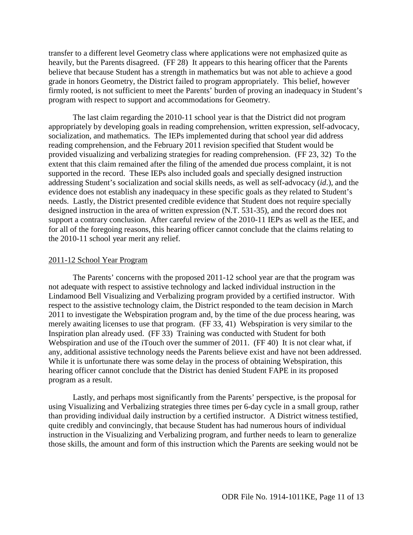transfer to a different level Geometry class where applications were not emphasized quite as heavily, but the Parents disagreed. (FF 28) It appears to this hearing officer that the Parents believe that because Student has a strength in mathematics but was not able to achieve a good grade in honors Geometry, the District failed to program appropriately. This belief, however firmly rooted, is not sufficient to meet the Parents' burden of proving an inadequacy in Student's program with respect to support and accommodations for Geometry.

 The last claim regarding the 2010-11 school year is that the District did not program appropriately by developing goals in reading comprehension, written expression, self-advocacy, socialization, and mathematics. The IEPs implemented during that school year did address reading comprehension, and the February 2011 revision specified that Student would be provided visualizing and verbalizing strategies for reading comprehension. (FF 23, 32) To the extent that this claim remained after the filing of the amended due process complaint, it is not supported in the record. These IEPs also included goals and specially designed instruction addressing Student's socialization and social skills needs, as well as self-advocacy (*id*.), and the evidence does not establish any inadequacy in these specific goals as they related to Student's needs. Lastly, the District presented credible evidence that Student does not require specially designed instruction in the area of written expression (N.T. 531-35), and the record does not support a contrary conclusion. After careful review of the 2010-11 IEPs as well as the IEE, and for all of the foregoing reasons, this hearing officer cannot conclude that the claims relating to the 2010-11 school year merit any relief.

#### 2011-12 School Year Program

 The Parents' concerns with the proposed 2011-12 school year are that the program was not adequate with respect to assistive technology and lacked individual instruction in the Lindamood Bell Visualizing and Verbalizing program provided by a certified instructor. With respect to the assistive technology claim, the District responded to the team decision in March 2011 to investigate the Webspiration program and, by the time of the due process hearing, was merely awaiting licenses to use that program. (FF 33, 41) Webspiration is very similar to the Inspiration plan already used. (FF 33) Training was conducted with Student for both Webspiration and use of the iTouch over the summer of 2011. (FF 40) It is not clear what, if any, additional assistive technology needs the Parents believe exist and have not been addressed. While it is unfortunate there was some delay in the process of obtaining Webspiration, this hearing officer cannot conclude that the District has denied Student FAPE in its proposed program as a result.

 Lastly, and perhaps most significantly from the Parents' perspective, is the proposal for using Visualizing and Verbalizing strategies three times per 6-day cycle in a small group, rather than providing individual daily instruction by a certified instructor. A District witness testified, quite credibly and convincingly, that because Student has had numerous hours of individual instruction in the Visualizing and Verbalizing program, and further needs to learn to generalize those skills, the amount and form of this instruction which the Parents are seeking would not be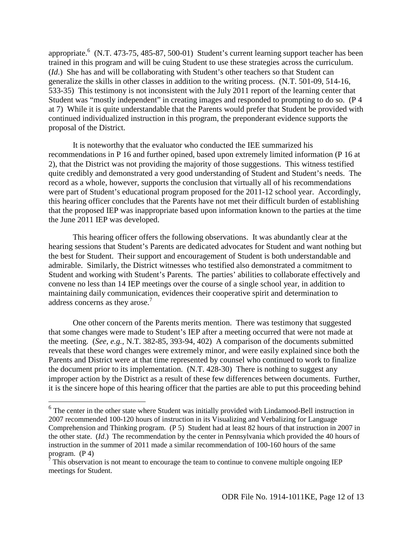appropriate.  $6$  (N.T. 473-75, 485-87, 500-01) Student's current learning support teacher has been trained in this program and will be cuing Student to use these strategies across the curriculum. (*Id*.) She has and will be collaborating with Student's other teachers so that Student can generalize the skills in other classes in addition to the writing process. (N.T. 501-09, 514-16, 533-35) This testimony is not inconsistent with the July 2011 report of the learning center that Student was "mostly independent" in creating images and responded to prompting to do so. (P 4 at 7) While it is quite understandable that the Parents would prefer that Student be provided with continued individualized instruction in this program, the preponderant evidence supports the proposal of the District.

 It is noteworthy that the evaluator who conducted the IEE summarized his recommendations in P 16 and further opined, based upon extremely limited information (P 16 at 2), that the District was not providing the majority of those suggestions. This witness testified quite credibly and demonstrated a very good understanding of Student and Student's needs. The record as a whole, however, supports the conclusion that virtually all of his recommendations were part of Student's educational program proposed for the 2011-12 school year. Accordingly, this hearing officer concludes that the Parents have not met their difficult burden of establishing that the proposed IEP was inappropriate based upon information known to the parties at the time the June 2011 IEP was developed.

 This hearing officer offers the following observations. It was abundantly clear at the hearing sessions that Student's Parents are dedicated advocates for Student and want nothing but the best for Student. Their support and encouragement of Student is both understandable and admirable. Similarly, the District witnesses who testified also demonstrated a commitment to Student and working with Student's Parents. The parties' abilities to collaborate effectively and convene no less than 14 IEP meetings over the course of a single school year, in addition to maintaining daily communication, evidences their cooperative spirit and determination to address concerns as they arose. $<sup>7</sup>$ </sup>

One other concern of the Parents merits mention. There was testimony that suggested that some changes were made to Student's IEP after a meeting occurred that were not made at the meeting. (*See, e.g.,* N.T. 382-85, 393-94, 402) A comparison of the documents submitted reveals that these word changes were extremely minor, and were easily explained since both the Parents and District were at that time represented by counsel who continued to work to finalize the document prior to its implementation. (N.T. 428-30) There is nothing to suggest any improper action by the District as a result of these few differences between documents. Further, it is the sincere hope of this hearing officer that the parties are able to put this proceeding behind

l

<sup>&</sup>lt;sup>6</sup> The center in the other state where Student was initially provided with Lindamood-Bell instruction in 2007 recommended 100-120 hours of instruction in its Visualizing and Verbalizing for Language Comprehension and Thinking program. (P 5) Student had at least 82 hours of that instruction in 2007 in the other state. (*Id*.) The recommendation by the center in Pennsylvania which provided the 40 hours of instruction in the summer of 2011 made a similar recommendation of 100-160 hours of the same program. (P 4)<br><sup>7</sup> This observation is not meant to encourage the team to continue to convene multiple ongoing IEP

meetings for Student.